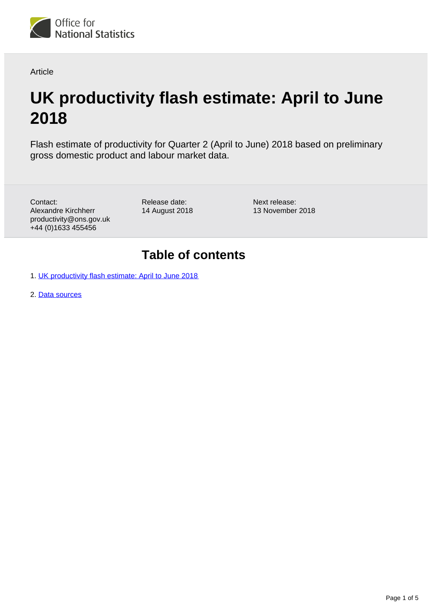

Article

# **UK productivity flash estimate: April to June 2018**

Flash estimate of productivity for Quarter 2 (April to June) 2018 based on preliminary gross domestic product and labour market data.

Contact: Alexandre Kirchherr productivity@ons.gov.uk +44 (0)1633 455456

Release date: 14 August 2018 Next release: 13 November 2018

### **Table of contents**

1. [UK productivity flash estimate: April to June 2018](#page-1-0)

2. [Data sources](#page-4-0)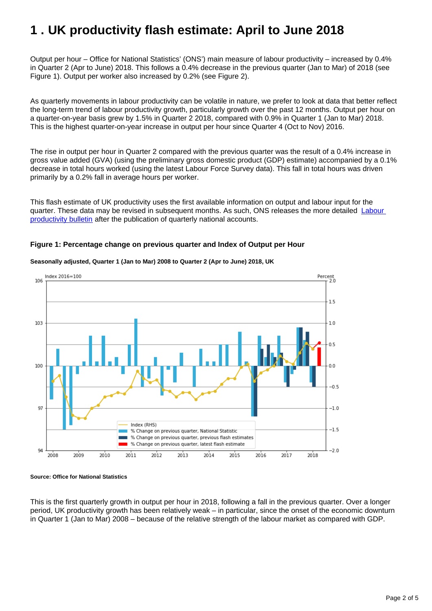## <span id="page-1-0"></span>**1 . UK productivity flash estimate: April to June 2018**

Output per hour – Office for National Statistics' (ONS') main measure of labour productivity – increased by 0.4% in Quarter 2 (Apr to June) 2018. This follows a 0.4% decrease in the previous quarter (Jan to Mar) of 2018 (see Figure 1). Output per worker also increased by 0.2% (see Figure 2).

As quarterly movements in labour productivity can be volatile in nature, we prefer to look at data that better reflect the long-term trend of labour productivity growth, particularly growth over the past 12 months. Output per hour on a quarter-on-year basis grew by 1.5% in Quarter 2 2018, compared with 0.9% in Quarter 1 (Jan to Mar) 2018. This is the highest quarter-on-year increase in output per hour since Quarter 4 (Oct to Nov) 2016.

The rise in output per hour in Quarter 2 compared with the previous quarter was the result of a 0.4% increase in gross value added (GVA) (using the preliminary gross domestic product (GDP) estimate) accompanied by a 0.1% decrease in total hours worked (using the latest Labour Force Survey data). This fall in total hours was driven primarily by a 0.2% fall in average hours per worker.

This flash estimate of UK productivity uses the first available information on output and labour input for the quarter. These data may be revised in subsequent months. As such, ONS releases the more detailed [Labour](http://www.ons.gov.uk/employmentandlabourmarket/peopleinwork/labourproductivity/bulletins/labourproductivity/latest)  [productivity bulletin](http://www.ons.gov.uk/employmentandlabourmarket/peopleinwork/labourproductivity/bulletins/labourproductivity/latest) after the publication of quarterly national accounts.

#### **Figure 1: Percentage change on previous quarter and Index of Output per Hour**



#### **Seasonally adjusted, Quarter 1 (Jan to Mar) 2008 to Quarter 2 (Apr to June) 2018, UK**

#### **Source: Office for National Statistics**

This is the first quarterly growth in output per hour in 2018, following a fall in the previous quarter. Over a longer period, UK productivity growth has been relatively weak – in particular, since the onset of the economic downturn in Quarter 1 (Jan to Mar) 2008 – because of the relative strength of the labour market as compared with GDP.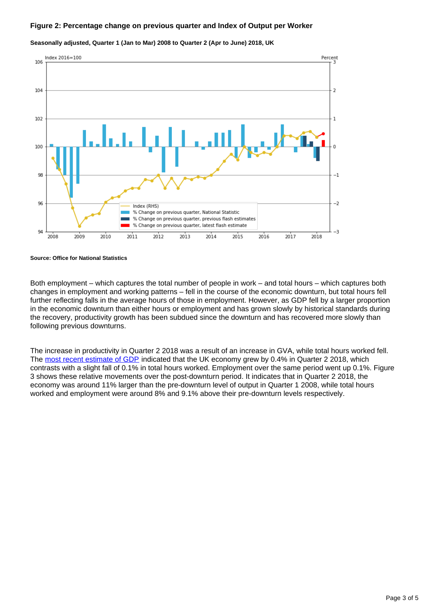#### **Figure 2: Percentage change on previous quarter and Index of Output per Worker**



**Seasonally adjusted, Quarter 1 (Jan to Mar) 2008 to Quarter 2 (Apr to June) 2018, UK**

**Source: Office for National Statistics**

Both employment – which captures the total number of people in work – and total hours – which captures both changes in employment and working patterns – fell in the course of the economic downturn, but total hours fell further reflecting falls in the average hours of those in employment. However, as GDP fell by a larger proportion in the economic downturn than either hours or employment and has grown slowly by historical standards during the recovery, productivity growth has been subdued since the downturn and has recovered more slowly than following previous downturns.

The increase in productivity in Quarter 2 2018 was a result of an increase in GVA, while total hours worked fell. The [most recent estimate of GDP](https://www.ons.gov.uk/economy/grossdomesticproductgdp/bulletins/gdpfirstquarterlyestimateuk/apriltojune2018) indicated that the UK economy grew by 0.4% in Quarter 2 2018, which contrasts with a slight fall of 0.1% in total hours worked. Employment over the same period went up 0.1%. Figure 3 shows these relative movements over the post-downturn period. It indicates that in Quarter 2 2018, the economy was around 11% larger than the pre-downturn level of output in Quarter 1 2008, while total hours worked and employment were around 8% and 9.1% above their pre-downturn levels respectively.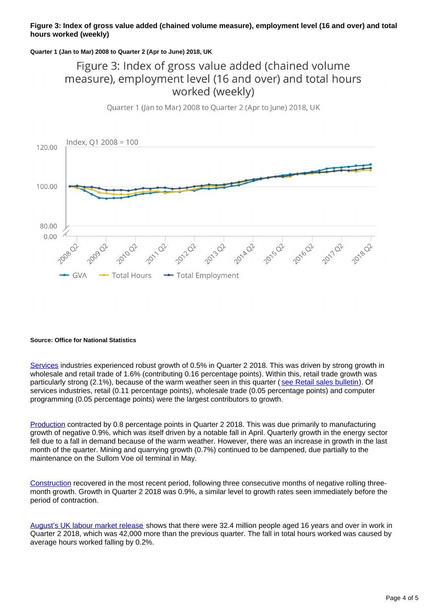#### **Figure 3: Index of gross value added (chained volume measure), employment level (16 and over) and total hours worked (weekly)**

#### **Quarter 1 (Jan to Mar) 2008 to Quarter 2 (Apr to June) 2018, UK**

### Figure 3: Index of gross value added (chained volume measure), employment level (16 and over) and total hours worked (weekly)



#### Quarter 1 (Jan to Mar) 2008 to Quarter 2 (Apr to June) 2018, UK

#### **Source: Office for National Statistics**

[Services](https://www.ons.gov.uk/economy/economicoutputandproductivity/output/bulletins/indexofservices/june2018) industries experienced robust growth of 0.5% in Quarter 2 2018. This was driven by strong growth in wholesale and retail trade of 1.6% (contributing 0.16 percentage points). Within this, retail trade growth was particularly strong (2.1%), because of the warm weather seen in this quarter ([see Retail sales bulletin\)](https://www.ons.gov.uk/businessindustryandtrade/retailindustry/bulletins/retailsales/june2018). Of services industries, retail (0.11 percentage points), wholesale trade (0.05 percentage points) and computer programming (0.05 percentage points) were the largest contributors to growth.

[Production](https://www.ons.gov.uk/economy/economicoutputandproductivity/output/bulletins/indexofproduction/june2018) contracted by 0.8 percentage points in Quarter 2 2018. This was due primarily to manufacturing growth of negative 0.9%, which was itself driven by a notable fall in April. Quarterly growth in the energy sector fell due to a fall in demand because of the warm weather. However, there was an increase in growth in the last month of the quarter. Mining and quarrying growth (0.7%) continued to be dampened, due partially to the maintenance on the Sullom Voe oil terminal in May.

[Construction](https://www.ons.gov.uk/businessindustryandtrade/constructionindustry/bulletins/constructionoutputingreatbritain/june2018) recovered in the most recent period, following three consecutive months of negative rolling threemonth growth. Growth in Quarter 2 2018 was 0.9%, a similar level to growth rates seen immediately before the period of contraction.

[August's UK labour market release](https://www.ons.gov.uk/releases/uklabourmarketstatisticsaug2018) shows that there were 32.4 million people aged 16 years and over in work in Quarter 2 2018, which was 42,000 more than the previous quarter. The fall in total hours worked was caused by average hours worked falling by 0.2%.